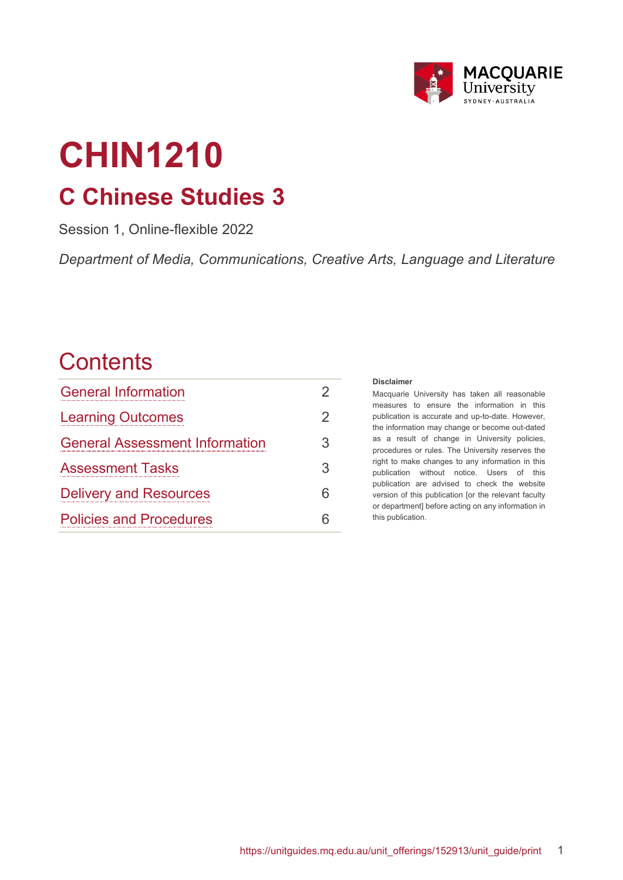

# **CHIN1210 C Chinese Studies 3**

Session 1, Online-flexible 2022

*Department of Media, Communications, Creative Arts, Language and Literature*

# **Contents**

| <b>General Information</b>            | 2  |
|---------------------------------------|----|
| <b>Learning Outcomes</b>              | 2  |
| <b>General Assessment Information</b> | 3  |
| <b>Assessment Tasks</b>               | 3  |
| <b>Delivery and Resources</b>         | 6  |
| <b>Policies and Procedures</b>        | ิค |

#### **Disclaimer**

Macquarie University has taken all reasonable measures to ensure the information in this publication is accurate and up-to-date. However, the information may change or become out-dated as a result of change in University policies, procedures or rules. The University reserves the right to make changes to any information in this publication without notice. Users of this publication are advised to check the website version of this publication [or the relevant faculty or department] before acting on any information in this publication.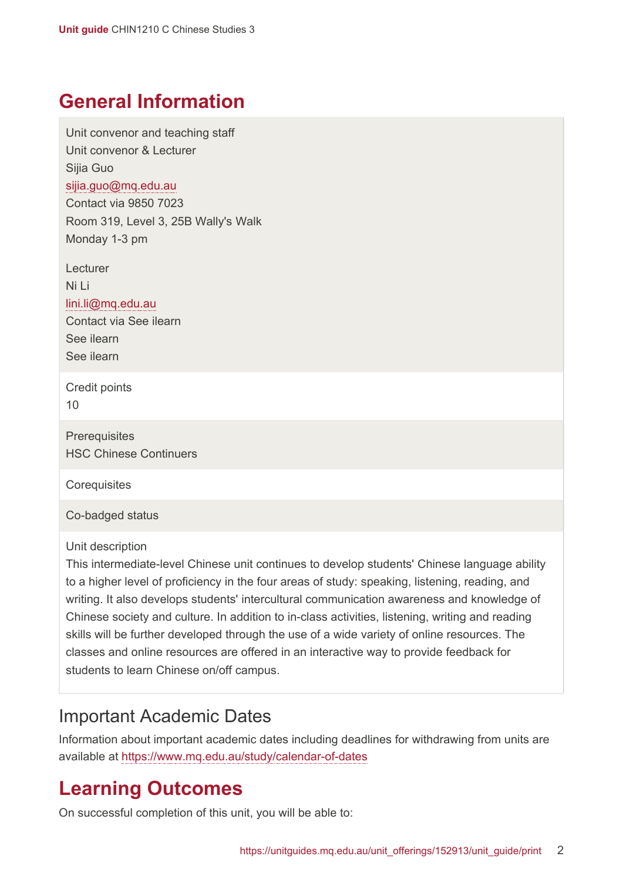### <span id="page-1-0"></span>**General Information**

Unit convenor and teaching staff Unit convenor & Lecturer Sijia Guo [sijia.guo@mq.edu.au](mailto:sijia.guo@mq.edu.au) Contact via 9850 7023 Room 319, Level 3, 25B Wally's Walk Monday 1-3 pm

Lecturer Ni Li [lini.li@mq.edu.au](mailto:lini.li@mq.edu.au) Contact via See ilearn See ilearn

See ilearn

Credit points 10

**Prerequisites** HSC Chinese Continuers

**Corequisites** 

Co-badged status

Unit description

This intermediate-level Chinese unit continues to develop students' Chinese language ability to a higher level of proficiency in the four areas of study: speaking, listening, reading, and writing. It also develops students' intercultural communication awareness and knowledge of Chinese society and culture. In addition to in-class activities, listening, writing and reading skills will be further developed through the use of a wide variety of online resources. The classes and online resources are offered in an interactive way to provide feedback for students to learn Chinese on/off campus.

#### Important Academic Dates

Information about important academic dates including deadlines for withdrawing from units are available at <https://www.mq.edu.au/study/calendar-of-dates>

## <span id="page-1-1"></span>**Learning Outcomes**

On successful completion of this unit, you will be able to: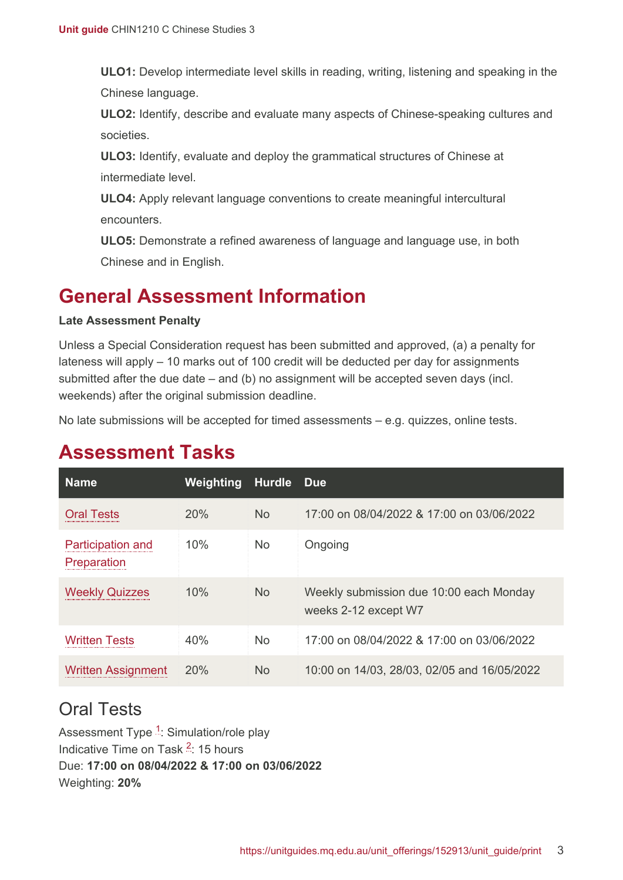**ULO1:** Develop intermediate level skills in reading, writing, listening and speaking in the Chinese language.

**ULO2:** Identify, describe and evaluate many aspects of Chinese-speaking cultures and societies.

**ULO3:** Identify, evaluate and deploy the grammatical structures of Chinese at intermediate level.

**ULO4:** Apply relevant language conventions to create meaningful intercultural encounters.

**ULO5:** Demonstrate a refined awareness of language and language use, in both Chinese and in English.

# <span id="page-2-0"></span>**General Assessment Information**

#### **Late Assessment Penalty**

Unless a Special Consideration request has been submitted and approved, (a) a penalty for lateness will apply – 10 marks out of 100 credit will be deducted per day for assignments submitted after the due date – and (b) no assignment will be accepted seven days (incl. weekends) after the original submission deadline.

No late submissions will be accepted for timed assessments – e.g. quizzes, online tests.

| <b>Name</b>                             | Weighting | <b>Hurdle</b>  | Due.                                                            |
|-----------------------------------------|-----------|----------------|-----------------------------------------------------------------|
| <b>Oral Tests</b>                       | 20%       | <b>No</b>      | 17:00 on 08/04/2022 & 17:00 on 03/06/2022                       |
| <b>Participation and</b><br>Preparation | 10%       | <b>No</b>      | Ongoing                                                         |
| <b>Weekly Quizzes</b>                   | 10%       | <b>No</b>      | Weekly submission due 10:00 each Monday<br>weeks 2-12 except W7 |
| Written Tests                           | 40%       | N <sub>o</sub> | 17:00 on 08/04/2022 & 17:00 on 03/06/2022                       |
| <b>Written Assignment</b>               | 20%       | <b>No</b>      | 10:00 on 14/03, 28/03, 02/05 and 16/05/2022                     |

## <span id="page-2-1"></span>**Assessment Tasks**

#### <span id="page-2-2"></span>Oral Tests

Assessment Type <sup>[1](#page-5-2)</sup>: Simulation/role play Indicative Time on Task <sup>[2](#page-5-3)</sup>: 15 hours Due: **17:00 on 08/04/2022 & 17:00 on 03/06/2022** Weighting: **20%**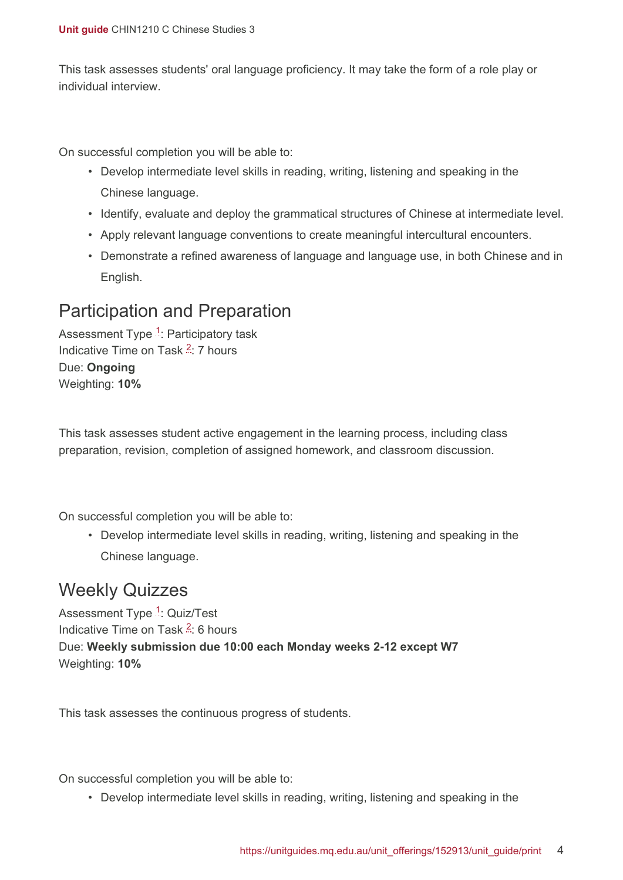This task assesses students' oral language proficiency. It may take the form of a role play or individual interview.

On successful completion you will be able to:

- Develop intermediate level skills in reading, writing, listening and speaking in the Chinese language.
- Identify, evaluate and deploy the grammatical structures of Chinese at intermediate level.
- Apply relevant language conventions to create meaningful intercultural encounters.
- Demonstrate a refined awareness of language and language use, in both Chinese and in English.

#### <span id="page-3-0"></span>Participation and Preparation

Assessment Type <sup>[1](#page-5-2)</sup>: Participatory task Indicative Time on Task <sup>[2](#page-5-3)</sup>: 7 hours Due: **Ongoing** Weighting: **10%**

This task assesses student active engagement in the learning process, including class preparation, revision, completion of assigned homework, and classroom discussion.

On successful completion you will be able to:

• Develop intermediate level skills in reading, writing, listening and speaking in the Chinese language.

#### <span id="page-3-1"></span>Weekly Quizzes

Assessment Type <sup>[1](#page-5-2)</sup>: Quiz/Test Indicative Time on Task <sup>[2](#page-5-3)</sup>: 6 hours Due: **Weekly submission due 10:00 each Monday weeks 2-12 except W7** Weighting: **10%**

This task assesses the continuous progress of students.

On successful completion you will be able to:

• Develop intermediate level skills in reading, writing, listening and speaking in the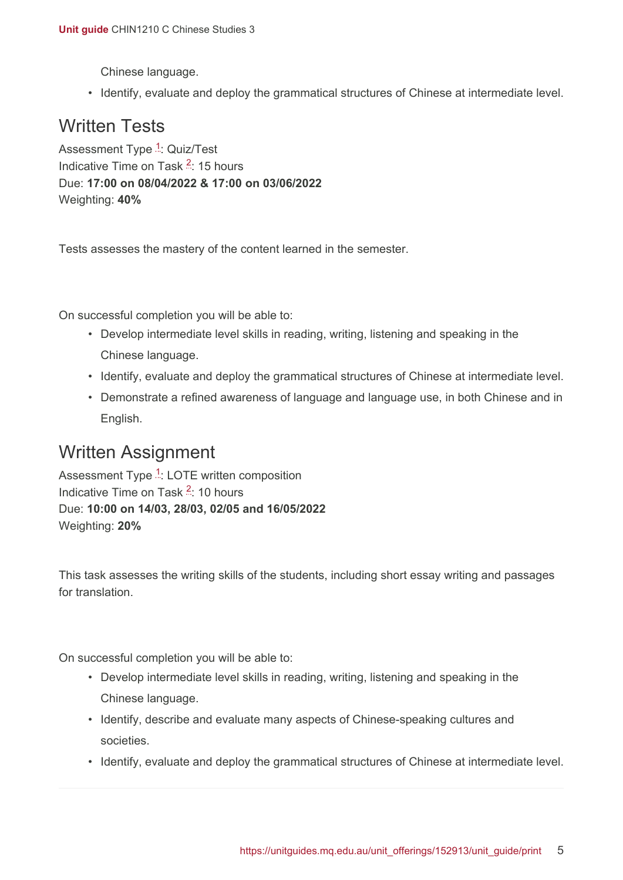Chinese language.

• Identify, evaluate and deploy the grammatical structures of Chinese at intermediate level.

#### <span id="page-4-0"></span>Written Tests

Assessment Type <sup>[1](#page-5-2)</sup>: Quiz/Test Indicative Time on Task <sup>[2](#page-5-3)</sup>: 15 hours Due: **17:00 on 08/04/2022 & 17:00 on 03/06/2022** Weighting: **40%**

Tests assesses the mastery of the content learned in the semester.

On successful completion you will be able to:

- Develop intermediate level skills in reading, writing, listening and speaking in the Chinese language.
- Identify, evaluate and deploy the grammatical structures of Chinese at intermediate level.
- Demonstrate a refined awareness of language and language use, in both Chinese and in English.

#### <span id="page-4-1"></span>Written Assignment

Assessment Type <sup>[1](#page-5-2)</sup>: LOTE written composition Indicative Time on Task <sup>[2](#page-5-3)</sup>: 10 hours Due: **10:00 on 14/03, 28/03, 02/05 and 16/05/2022** Weighting: **20%**

This task assesses the writing skills of the students, including short essay writing and passages for translation.

On successful completion you will be able to:

- Develop intermediate level skills in reading, writing, listening and speaking in the Chinese language.
- Identify, describe and evaluate many aspects of Chinese-speaking cultures and societies.
- Identify, evaluate and deploy the grammatical structures of Chinese at intermediate level.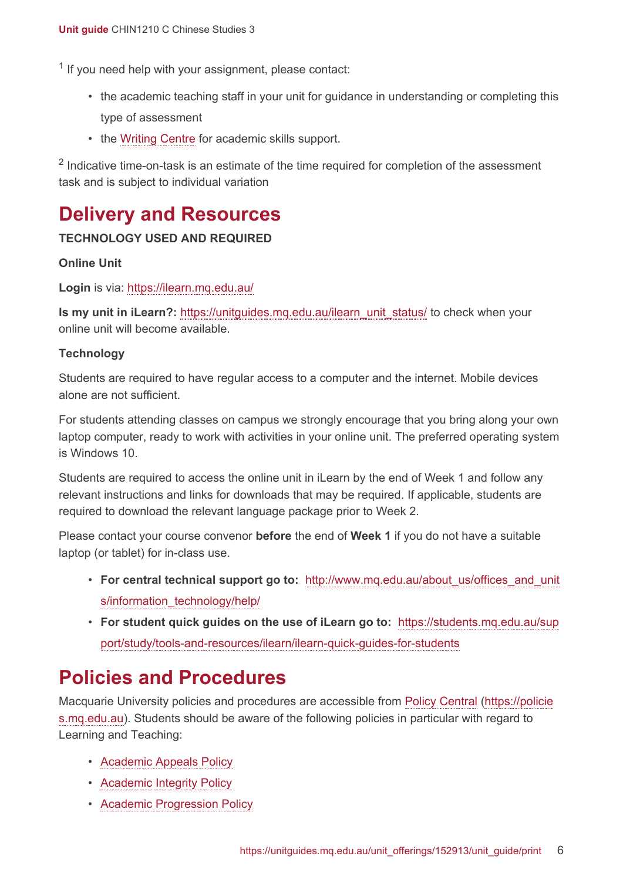<span id="page-5-2"></span><sup>1</sup> If you need help with your assignment, please contact:

- the academic teaching staff in your unit for guidance in understanding or completing this type of assessment
- the [Writing Centre](https://students.mq.edu.au/support/study/skills-development) for academic skills support.

<span id="page-5-3"></span> $2$  Indicative time-on-task is an estimate of the time required for completion of the assessment task and is subject to individual variation

### <span id="page-5-0"></span>**Delivery and Resources**

#### **TECHNOLOGY USED AND REQUIRED**

#### **Online Unit**

**Login** is via: <https://ilearn.mq.edu.au/>

**Is my unit in iLearn?:** [https://unitguides.mq.edu.au/ilearn\\_unit\\_status/](https://unitguides.mq.edu.au/ilearn_unit_status/) to check when your online unit will become available.

#### **Technology**

Students are required to have regular access to a computer and the internet. Mobile devices alone are not sufficient.

For students attending classes on campus we strongly encourage that you bring along your own laptop computer, ready to work with activities in your online unit. The preferred operating system is Windows 10.

Students are required to access the online unit in iLearn by the end of Week 1 and follow any relevant instructions and links for downloads that may be required. If applicable, students are required to download the relevant language package prior to Week 2.

Please contact your course convenor **before** the end of **Week 1** if you do not have a suitable laptop (or tablet) for in-class use.

- **For central technical support go to:** [http://www.mq.edu.au/about\\_us/offices\\_and\\_unit](http://www.mq.edu.au/about_us/offices_and_units/information_technology/help/) [s/information\\_technology/help/](http://www.mq.edu.au/about_us/offices_and_units/information_technology/help/)
- **For student quick guides on the use of iLearn go to:** [https://students.mq.edu.au/sup](https://students.mq.edu.au/support/study/tools-and-resources/ilearn/ilearn-quick-guides-for-students) [port/study/tools-and-resources/ilearn/ilearn-quick-guides-for-students](https://students.mq.edu.au/support/study/tools-and-resources/ilearn/ilearn-quick-guides-for-students)

#### <span id="page-5-1"></span>**Policies and Procedures**

Macquarie University policies and procedures are accessible from [Policy Central](https://policies.mq.edu.au/) [\(https://policie](https://policies.mq.edu.au/) [s.mq.edu.au](https://policies.mq.edu.au/)). Students should be aware of the following policies in particular with regard to Learning and Teaching:

- [Academic Appeals Policy](https://policies.mq.edu.au/document/view.php?id=1)
- [Academic Integrity Policy](https://policies.mq.edu.au/document/view.php?id=3)
- [Academic Progression Policy](https://policies.mq.edu.au/document/view.php?id=4)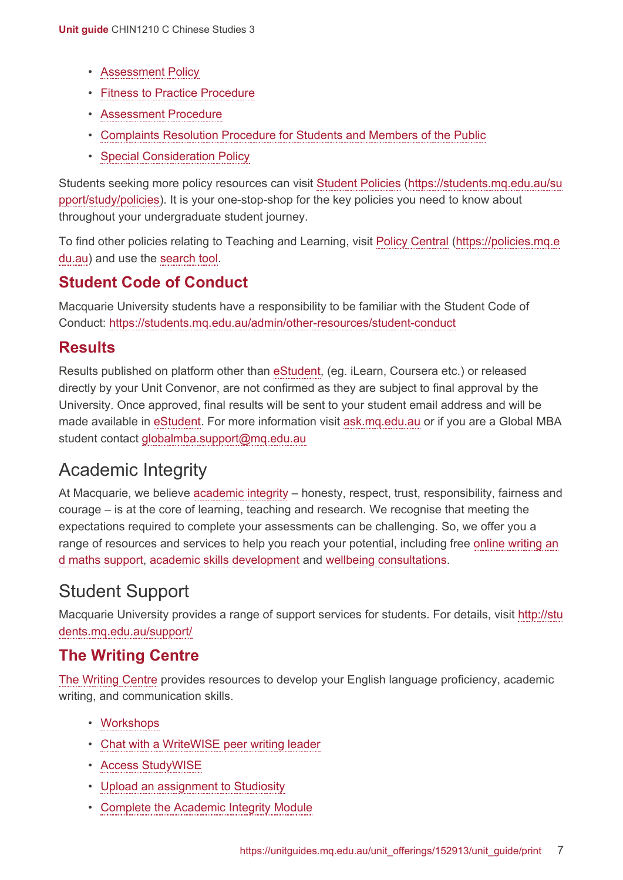- [Assessment Policy](https://policies.mq.edu.au/document/view.php?id=17)
- [Fitness to Practice Procedure](https://policies.mq.edu.au/document/view.php?id=6)
- [Assessment Procedure](https://policies.mq.edu.au/document/view.php?id=277)
- [Complaints Resolution Procedure for Students and Members of the Public](https://policies.mq.edu.au/document/view.php?id=282)
- [Special Consideration Policy](https://policies.mq.edu.au/document/view.php?id=136)

Students seeking more policy resources can visit [Student Policies](https://students.mq.edu.au/support/study/policies) [\(https://students.mq.edu.au/su](https://students.mq.edu.au/support/study/policies) [pport/study/policies\)](https://students.mq.edu.au/support/study/policies). It is your one-stop-shop for the key policies you need to know about throughout your undergraduate student journey.

To find other policies relating to Teaching and Learning, visit [Policy Central](https://policies.mq.edu.au/) ([https://policies.mq.e](https://policies.mq.edu.au/) [du.au](https://policies.mq.edu.au/)) and use the [search](https://policies.mq.edu.au/search.php) tool.

#### **Student Code of Conduct**

Macquarie University students have a responsibility to be familiar with the Student Code of Conduct: <https://students.mq.edu.au/admin/other-resources/student-conduct>

#### **Results**

Results published on platform other than [eStudent](https://student1.mq.edu.au/), (eg. iLearn, Coursera etc.) or released directly by your Unit Convenor, are not confirmed as they are subject to final approval by the University. Once approved, final results will be sent to your student email address and will be made available in [eStudent.](https://student1.mq.edu.au/) For more information visit [ask.mq.edu.au](http://ask.mq.edu.au/) or if you are a Global MBA student contact [globalmba.support@mq.edu.au](mailto:globalmba.support@mq.edu.au)

#### Academic Integrity

At Macquarie, we believe [academic integrity](https://students.mq.edu.au/study/assessment-exams/academic-integrity) – honesty, respect, trust, responsibility, fairness and courage – is at the core of learning, teaching and research. We recognise that meeting the expectations required to complete your assessments can be challenging. So, we offer you a range of resources and services to help you reach your potential, including free [online writing an](https://students.mq.edu.au/support/study) [d maths support,](https://students.mq.edu.au/support/study) [academic skills development](https://students.mq.edu.au/support/study/writing) and [wellbeing consultations](https://students.mq.edu.au/support/personal).

### Student Support

Macquarie University provides a range of support services for students. For details, visit [http://stu](http://students.mq.edu.au/support/) [dents.mq.edu.au/support/](http://students.mq.edu.au/support/)

#### **The Writing Centre**

[The Writing Centre](https://students.mq.edu.au/support/study/writing) provides resources to develop your English language proficiency, academic writing, and communication skills.

- [Workshops](https://students.mq.edu.au/support/study/writing/workshops)
- [Chat with a WriteWISE peer writing leader](https://students.mq.edu.au/support/study/writing/writewise)
- [Access StudyWISE](http://ilearn.mq.edu.au/course/view.php?id=16580)
- [Upload an assignment to Studiosity](https://students.mq.edu.au/support/study/writing/studiosity)
- Complete [the Academic Integrity Module](https://ilearn.mq.edu.au/course/view.php?id=11590)